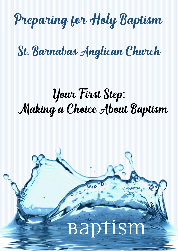# Preparing for Holy Baptism

# St. Barnabas Anglican Church

# Your First Step: Making a Choice About Baptism

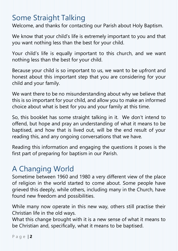## Some Straight Talking

Welcome, and thanks for contacting our Parish about Holy Baptism.

We know that your child's life is extremely important to you and that you want nothing less than the best for your child.

Your child's life is equally important to this church, and we want nothing less than the best for your child.

Because your child is so important to us, we want to be upfront and honest about this important step that you are considering for your child and your family.

We want there to be no misunderstanding about why we believe that this is so important for your child, and allow you to make an informed choice about what is best for you and your family at this time.

So, this booklet has some straight talking in it. We don't intend to offend, but hope and pray an understanding of what it means to be baptised, and how that is lived out, will be the end result of your reading this, and any ongoing conversations that we have.

Reading this information and engaging the questions it poses is the first part of preparing for baptism in our Parish.

# A Changing World

Sometime between 1960 and 1980 a very different view of the place of religion in the world started to come about. Some people have grieved this deeply, while others, including many in the Church, have found new freedom and possibilities.

While many now operate in this new way, others still practise their Christian life in the old ways.

What this change brought with it is a new sense of what it means to be Christian and, specifically, what it means to be baptised.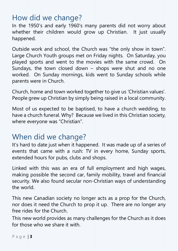## How did we change?

In the 1950's and early 1960's many parents did not worry about whether their children would grow up Christian. It just usually happened.

Outside work and school, the Church was "the only show in town". Large Church Youth groups met on Friday nights. On Saturday, you played sports and went to the movies with the same crowd. On Sundays, the town closed down – shops were shut and no one worked. On Sunday mornings, kids went to Sunday schools while parents were in Church.

Church, home and town worked together to give us 'Christian values'. People grew up Christian by simply being raised in a local community.

Most of us expected to be baptised, to have a church wedding, to have a church funeral. Why? Because we lived in this Christian society, where everyone was "Christian".

### When did we change?

It's hard to date just when it happened. It was made up of a series of events that came with a rush: TV in every home, Sunday sports, extended hours for pubs, clubs and shops.

Linked with this was an era of full employment and high wages, making possible the second car, family mobility, travel and financial security. We also found secular non-Christian ways of understanding the world.

This new Canadian society no longer acts as a prop for the Church, nor does it need the Church to prop it up. There are no longer any free rides for the Church.

This new world provides as many challenges for the Church as it does for those who we share it with.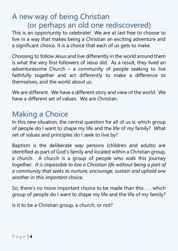### A new way of being Christian (or perhaps an old one rediscovered)

This is an opportunity to celebrate! We are at last free to choose to live in a way that makes being a Christian an exciting adventure and a significant choice. It is a choice that each of us gets to make.

Choosing to follow Jesus and live differently in the world around them is what the very first followers of Jesus did. As a result, they lived an adventuresome Church – a community of people seeking to live faithfully together and act differently to make a difference to themselves, and the world about us.

We are different. We have a different story and view of the world. We have a different set of values. We are Christian.

## Making a Choice

In this new situation, the central question for all of us is: which group of people do I want to shape my life and the life of my family? What set of values and principles do I seek to live by?

Baptism is the deliberate way persons (children and adults) are identified as part of God's family and located within a Christian group, a church. A church is a group of people who walk this journey together. *It is impossible to live a Christian life without being a part of a community that seeks to nurture, encourage, sustain and uphold one another in this important choice.*

So, there's no more important choice to be made than this . . . which group of people do I want to shape my life and the life of my family?

Is it to be a Christian group, a church, or not?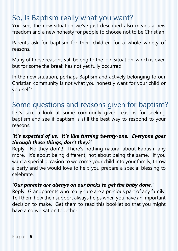## So, Is Baptism really what you want?

You see, the new situation we've just described also means a new freedom and a new honesty for people to choose not to be Christian!

Parents ask for baptism for their children for a whole variety of reasons.

Many of those reasons still belong to the 'old situation' which is over, but for some the break has not yet fully occurred.

In the new situation, perhaps Baptism and actively belonging to our Christian community is not what you honestly want for your child or yourself?

### Some questions and reasons given for baptism?

Let's take a look at some commonly given reasons for seeking baptism and see if baptism is still the best way to respond to your reasons.

#### *'It's expected of us. It's like turning twenty-one. Everyone goes through these things, don't they?'*

Reply: No they don't! There's nothing natural about Baptism any more. It's about being different, not about being the same. If you want a special occasion to welcome your child into your family, throw a party and we would love to help you prepare a special blessing to celebrate.

#### *'Our parents are always on our backs to get the baby done.'*

Reply: Grandparents who really care are a precious part of any family. Tell them how their support always helps when you have an important decision to make. Get them to read this booklet so that you might have a conversation together.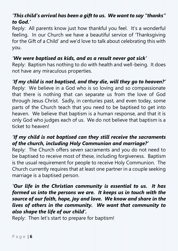#### *'This child's arrival has been a gift to us. We want to say "thanks" to God.'*

Reply: All parents know just how thankful you feel. It's a wonderful feeling. In our Church we have a beautiful service of 'Thanksgiving for the Gift of a Child' and we'd love to talk about celebrating this with you.

#### *'We were baptised as kids, and as a result never got sick'*

Reply: Baptism has nothing to do with health and well-being. It does not have any miraculous properties.

#### *'If my child is not baptised, and they die, will they go to heaven?'*

Reply: We believe in a God who is so loving and so compassionate that there is nothing that can separate us from the love of God through Jesus Christ. Sadly, in centuries past, and even today, some parts of the Church teach that you need to be baptised to get into heaven. We believe that baptism is a human response, and that it is only God who judges each of us. We do not believe that baptism is a ticket to heaven!

#### *'If my child is not baptised can they still receive the sacraments of the church, including Holy Communion and marriage?'*

Reply: The Church offers seven sacraments and you do not need to be baptised to receive most of these, including forgiveness. Baptism is the usual requirement for people to receive Holy Communion. The Church currently requires that at least one partner in a couple seeking marriage is a baptised person.

*'Our life in the Christian community is essential to us. It has formed us into the persons we are. It keeps us in touch with the source of our faith, hope, joy and love. We know and share in the lives of others in the community. We want that community to also shape the life of our child'.*

Reply: Then let's start to prepare for baptism!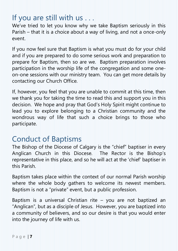## If you are still with us . . .

We've tried to let you know why we take Baptism seriously in this Parish – that it is a choice about a way of living, and not a once-only event.

If you now feel sure that Baptism is what you must do for your child and if you are prepared to do some serious work and preparation to prepare for Baptism, then so are we. Baptism preparation involves participation in the worship life of the congregation and some oneon-one sessions with our ministry team. You can get more details by contacting our Church Office.

If, however, you feel that you are unable to commit at this time, then we thank you for taking the time to read this and support you in this decision. We hope and pray that God's Holy Spirit might continue to lead you to explore belonging to a Christian community and the wondrous way of life that such a choice brings to those who participate.

#### Conduct of Baptisms

The Bishop of the Diocese of Calgary is the "chief" baptiser in every Anglican Church in this Diocese. The Rector is the Bishop's representative in this place, and so he will act at the 'chief' baptiser in this Parish.

Baptism takes place within the context of our normal Parish worship where the whole body gathers to welcome its newest members. Baptism is not a "private" event, but a public profession.

Baptism is a universal Christian rite – you are not baptized an "Anglican", but as a disciple of Jesus. However, you are baptized into a community of believers, and so our desire is that you would enter into the journey of life with us.